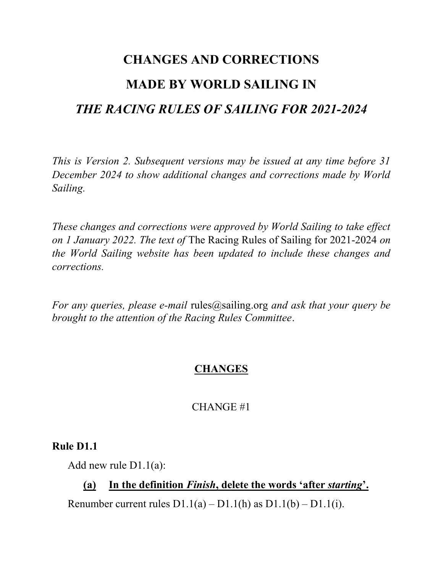# CHANGES AND CORRECTIONS MADE BY WORLD SAILING IN THE RACING RULES OF SAILING FOR 2021-2024

This is Version 2. Subsequent versions may be issued at any time before 31 December 2024 to show additional changes and corrections made by World Sailing.

These changes and corrections were approved by World Sailing to take effect on 1 January 2022. The text of The Racing Rules of Sailing for 2021-2024 on the World Sailing website has been updated to include these changes and corrections.

For any queries, please e-mail rules@sailing.org and ask that your query be brought to the attention of the Racing Rules Committee.

# **CHANGES**

## CHANGE #1

## Rule D1.1

Add new rule D1.1(a):

# (a) In the definition Finish, delete the words 'after starting'.

Renumber current rules  $D1.1(a) - D1.1(h)$  as  $D1.1(b) - D1.1(i)$ .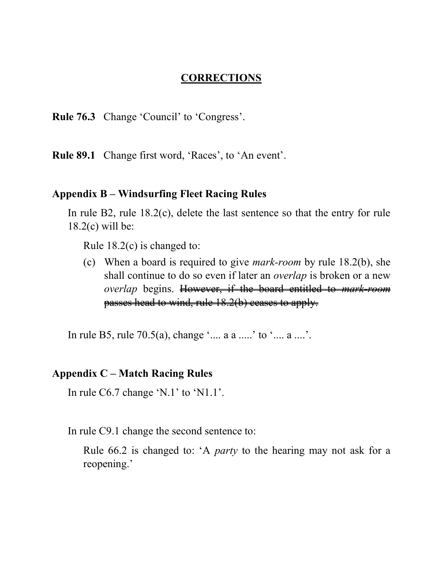#### **CORRECTIONS**

Rule 76.3 Change 'Council' to 'Congress'.

Rule 89.1 Change first word, 'Races', to 'An event'.

#### Appendix B – Windsurfing Fleet Racing Rules

In rule B2, rule 18.2(c), delete the last sentence so that the entry for rule 18.2(c) will be:

Rule 18.2(c) is changed to:

(c) When a board is required to give mark-room by rule 18.2(b), she shall continue to do so even if later an overlap is broken or a new overlap begins. However, if the board entitled to mark-room passes head to wind, rule 18.2(b) ceases to apply.

In rule B5, rule 70.5(a), change '.... a a .....' to '.... a ....'.

#### Appendix C – Match Racing Rules

In rule C6.7 change 'N.1' to 'N1.1'.

In rule C9.1 change the second sentence to:

Rule 66.2 is changed to: 'A party to the hearing may not ask for a reopening.'